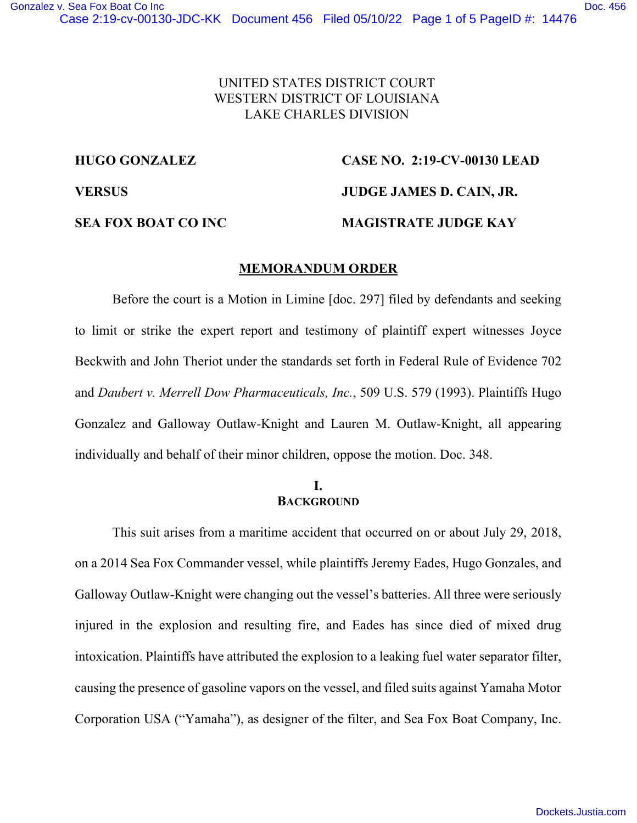## UNITED STATES DISTRICT COURT WESTERN DISTRICT OF LOUISIANA LAKE CHARLES DIVISION

# **HUGO GONZALEZ CASE NO. 2:19-CV-00130 LEAD**

**VERSUS JUDGE JAMES D. CAIN, JR.** 

#### **SEA FOX BOAT CO INC MAGISTRATE JUDGE KAY**

#### **MEMORANDUM ORDER**

Before the court is a Motion in Limine [doc. 297] filed by defendants and seeking to limit or strike the expert report and testimony of plaintiff expert witnesses Joyce Beckwith and John Theriot under the standards set forth in Federal Rule of Evidence 702 and *Daubert v. Merrell Dow Pharmaceuticals, Inc.*, 509 U.S. 579 (1993). Plaintiffs Hugo Gonzalez and Galloway Outlaw-Knight and Lauren M. Outlaw-Knight, all appearing individually and behalf of their minor children, oppose the motion. Doc. 348.

#### **I. BACKGROUND**

This suit arises from a maritime accident that occurred on or about July 29, 2018, on a 2014 Sea Fox Commander vessel, while plaintiffs Jeremy Eades, Hugo Gonzales, and Galloway Outlaw-Knight were changing out the vessel's batteries. All three were seriously injured in the explosion and resulting fire, and Eades has since died of mixed drug intoxication. Plaintiffs have attributed the explosion to a leaking fuel water separator filter, causing the presence of gasoline vapors on the vessel, and filed suits against Yamaha Motor Corporation USA ("Yamaha"), as designer of the filter, and Sea Fox Boat Company, Inc.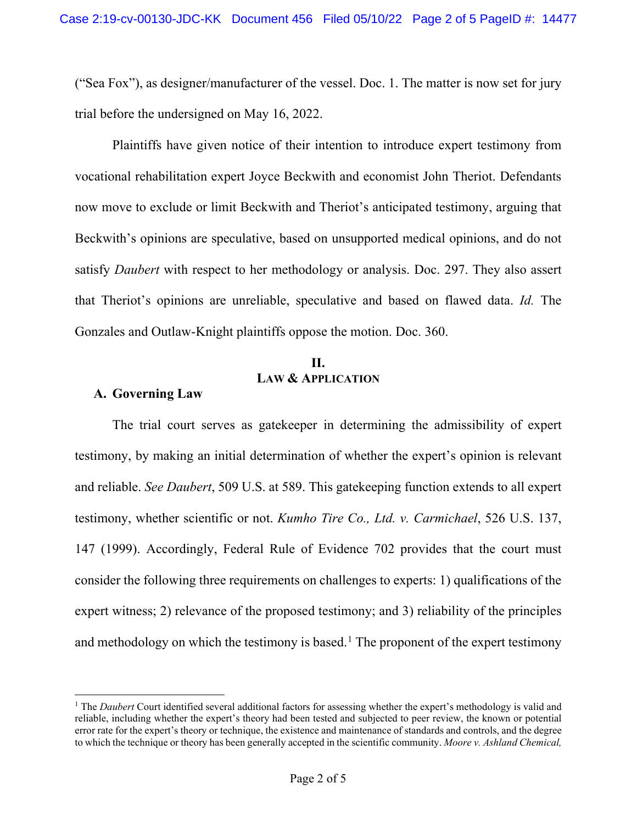("Sea Fox"), as designer/manufacturer of the vessel. Doc. 1. The matter is now set for jury trial before the undersigned on May 16, 2022.

 Plaintiffs have given notice of their intention to introduce expert testimony from vocational rehabilitation expert Joyce Beckwith and economist John Theriot. Defendants now move to exclude or limit Beckwith and Theriot's anticipated testimony, arguing that Beckwith's opinions are speculative, based on unsupported medical opinions, and do not satisfy *Daubert* with respect to her methodology or analysis. Doc. 297. They also assert that Theriot's opinions are unreliable, speculative and based on flawed data. *Id.* The Gonzales and Outlaw-Knight plaintiffs oppose the motion. Doc. 360.

## **II. LAW & APPLICATION**

## **A. Governing Law**

The trial court serves as gatekeeper in determining the admissibility of expert testimony, by making an initial determination of whether the expert's opinion is relevant and reliable. *See Daubert*, 509 U.S. at 589. This gatekeeping function extends to all expert testimony, whether scientific or not. *Kumho Tire Co., Ltd. v. Carmichael*, 526 U.S. 137, 147 (1999). Accordingly, Federal Rule of Evidence 702 provides that the court must consider the following three requirements on challenges to experts: 1) qualifications of the expert witness; 2) relevance of the proposed testimony; and 3) reliability of the principles and methodology on which the testimony is based.<sup>1</sup> The proponent of the expert testimony

<sup>&</sup>lt;sup>1</sup> The *Daubert* Court identified several additional factors for assessing whether the expert's methodology is valid and reliable, including whether the expert's theory had been tested and subjected to peer review, the known or potential error rate for the expert's theory or technique, the existence and maintenance of standards and controls, and the degree to which the technique or theory has been generally accepted in the scientific community. *Moore v. Ashland Chemical,*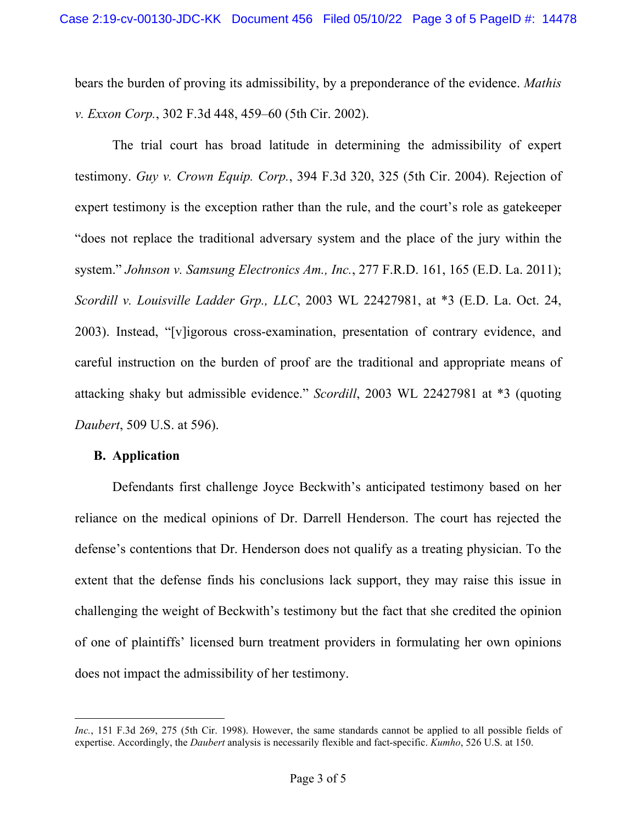bears the burden of proving its admissibility, by a preponderance of the evidence. *Mathis v. Exxon Corp.*, 302 F.3d 448, 459–60 (5th Cir. 2002).

The trial court has broad latitude in determining the admissibility of expert testimony. *Guy v. Crown Equip. Corp.*, 394 F.3d 320, 325 (5th Cir. 2004). Rejection of expert testimony is the exception rather than the rule, and the court's role as gatekeeper "does not replace the traditional adversary system and the place of the jury within the system." *Johnson v. Samsung Electronics Am., Inc.*, 277 F.R.D. 161, 165 (E.D. La. 2011); *Scordill v. Louisville Ladder Grp., LLC*, 2003 WL 22427981, at \*3 (E.D. La. Oct. 24, 2003). Instead, "[v]igorous cross-examination, presentation of contrary evidence, and careful instruction on the burden of proof are the traditional and appropriate means of attacking shaky but admissible evidence." *Scordill*, 2003 WL 22427981 at \*3 (quoting *Daubert*, 509 U.S. at 596).

#### **B. Application**

Defendants first challenge Joyce Beckwith's anticipated testimony based on her reliance on the medical opinions of Dr. Darrell Henderson. The court has rejected the defense's contentions that Dr. Henderson does not qualify as a treating physician. To the extent that the defense finds his conclusions lack support, they may raise this issue in challenging the weight of Beckwith's testimony but the fact that she credited the opinion of one of plaintiffs' licensed burn treatment providers in formulating her own opinions does not impact the admissibility of her testimony.

*Inc.*, 151 F.3d 269, 275 (5th Cir. 1998). However, the same standards cannot be applied to all possible fields of expertise. Accordingly, the *Daubert* analysis is necessarily flexible and fact-specific. *Kumho*, 526 U.S. at 150.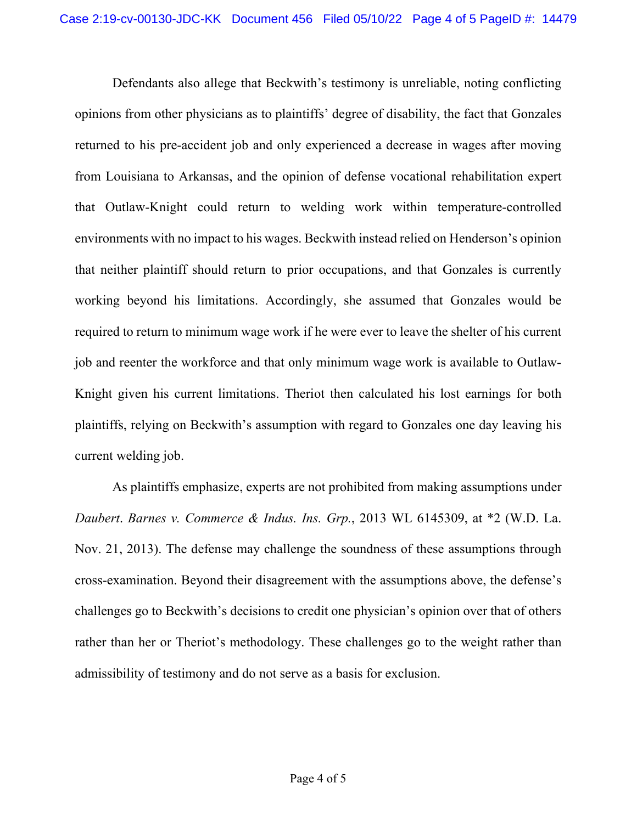Defendants also allege that Beckwith's testimony is unreliable, noting conflicting opinions from other physicians as to plaintiffs' degree of disability, the fact that Gonzales returned to his pre-accident job and only experienced a decrease in wages after moving from Louisiana to Arkansas, and the opinion of defense vocational rehabilitation expert that Outlaw-Knight could return to welding work within temperature-controlled environments with no impact to his wages. Beckwith instead relied on Henderson's opinion that neither plaintiff should return to prior occupations, and that Gonzales is currently working beyond his limitations. Accordingly, she assumed that Gonzales would be required to return to minimum wage work if he were ever to leave the shelter of his current job and reenter the workforce and that only minimum wage work is available to Outlaw-Knight given his current limitations. Theriot then calculated his lost earnings for both plaintiffs, relying on Beckwith's assumption with regard to Gonzales one day leaving his current welding job.

As plaintiffs emphasize, experts are not prohibited from making assumptions under *Daubert*. *Barnes v. Commerce & Indus. Ins. Grp.*, 2013 WL 6145309, at \*2 (W.D. La. Nov. 21, 2013). The defense may challenge the soundness of these assumptions through cross-examination. Beyond their disagreement with the assumptions above, the defense's challenges go to Beckwith's decisions to credit one physician's opinion over that of others rather than her or Theriot's methodology. These challenges go to the weight rather than admissibility of testimony and do not serve as a basis for exclusion.